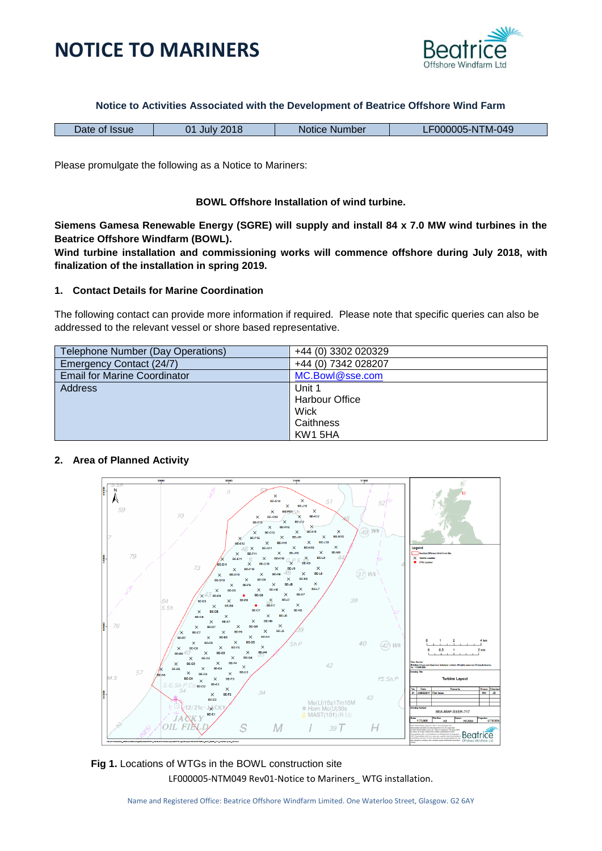



#### **Notice to Activities Associated with the Development of Beatrice Offshore Wind Farm**

| Date of Issue | 2018<br>በ1<br>July | Notice Number | 000005-NTM-049 |
|---------------|--------------------|---------------|----------------|
|               |                    |               |                |

Please promulgate the following as a Notice to Mariners:

#### **BOWL Offshore Installation of wind turbine.**

**Siemens Gamesa Renewable Energy (SGRE) will supply and install 84 x 7.0 MW wind turbines in the Beatrice Offshore Windfarm (BOWL).** 

**Wind turbine installation and commissioning works will commence offshore during July 2018, with finalization of the installation in spring 2019.**

#### **1. Contact Details for Marine Coordination**

The following contact can provide more information if required. Please note that specific queries can also be addressed to the relevant vessel or shore based representative.

| Telephone Number (Day Operations)   | +44 (0) 3302 020329   |
|-------------------------------------|-----------------------|
| Emergency Contact (24/7)            | +44 (0) 7342 028207   |
| <b>Email for Marine Coordinator</b> | MC.Bowl@sse.com       |
| Address                             | Unit 1                |
|                                     | <b>Harbour Office</b> |
|                                     | Wick                  |
|                                     | Caithness             |
|                                     | KW1 5HA               |

### **2. Area of Planned Activity**



LF000005-NTM049 Rev01-Notice to Mariners\_ WTG installation. **Fig 1.** Locations of WTGs in the BOWL construction site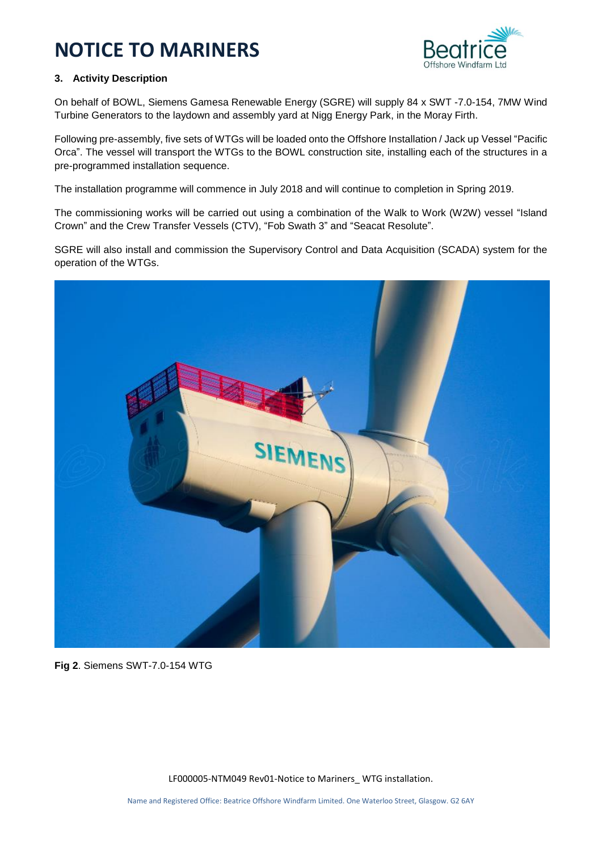

### **3. Activity Description**

On behalf of BOWL, Siemens Gamesa Renewable Energy (SGRE) will supply 84 x SWT -7.0-154, 7MW Wind Turbine Generators to the laydown and assembly yard at Nigg Energy Park, in the Moray Firth.

Following pre-assembly, five sets of WTGs will be loaded onto the Offshore Installation / Jack up Vessel "Pacific Orca". The vessel will transport the WTGs to the BOWL construction site, installing each of the structures in a pre-programmed installation sequence.

The installation programme will commence in July 2018 and will continue to completion in Spring 2019.

The commissioning works will be carried out using a combination of the Walk to Work (W2W) vessel "Island Crown" and the Crew Transfer Vessels (CTV), "Fob Swath 3" and "Seacat Resolute".

SGRE will also install and commission the Supervisory Control and Data Acquisition (SCADA) system for the operation of the WTGs.



**Fig 2**. Siemens SWT-7.0-154 WTG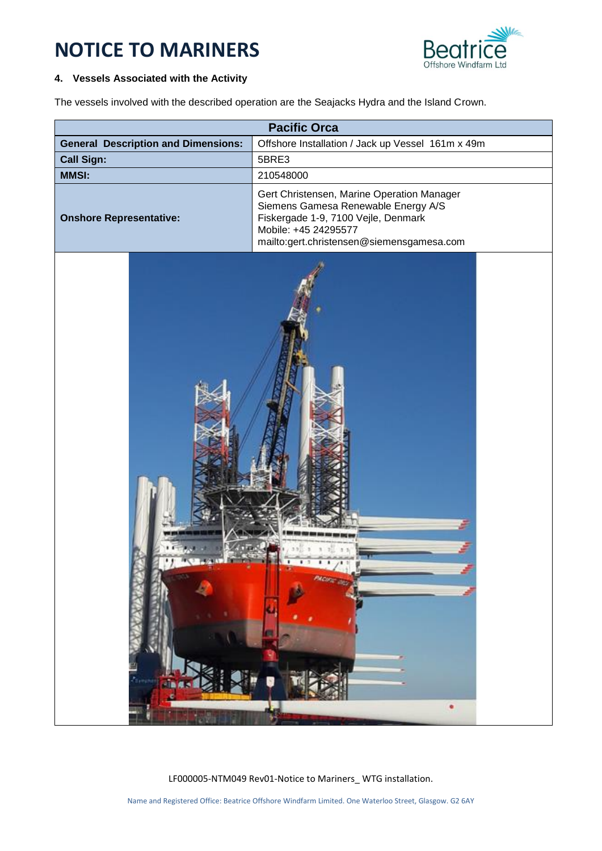

### **4. Vessels Associated with the Activity**

The vessels involved with the described operation are the Seajacks Hydra and the Island Crown.

| <b>Pacific Orca</b>                        |                                                                                                                                                                                               |  |
|--------------------------------------------|-----------------------------------------------------------------------------------------------------------------------------------------------------------------------------------------------|--|
| <b>General Description and Dimensions:</b> | Offshore Installation / Jack up Vessel 161m x 49m                                                                                                                                             |  |
| <b>Call Sign:</b>                          | 5BRE3                                                                                                                                                                                         |  |
| <b>MMSI:</b>                               | 210548000                                                                                                                                                                                     |  |
| <b>Onshore Representative:</b>             | Gert Christensen, Marine Operation Manager<br>Siemens Gamesa Renewable Energy A/S<br>Fiskergade 1-9, 7100 Vejle, Denmark<br>Mobile: +45 24295577<br>mailto:gert.christensen@siemensgamesa.com |  |
|                                            |                                                                                                                                                                                               |  |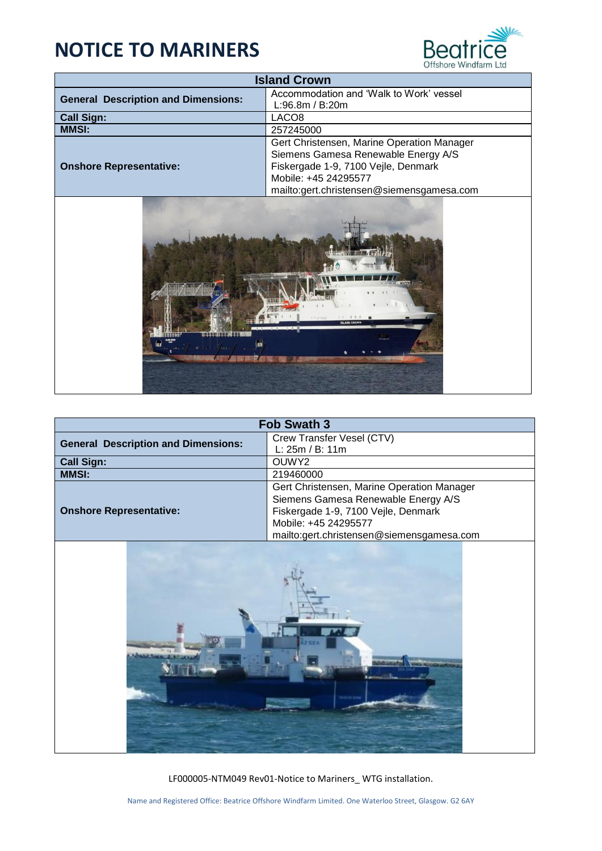

| <b>Island Crown</b>                        |                                            |  |
|--------------------------------------------|--------------------------------------------|--|
| <b>General Description and Dimensions:</b> | Accommodation and 'Walk to Work' vessel    |  |
|                                            | L:96.8m / B:20m                            |  |
| <b>Call Sign:</b>                          | LACO <sub>8</sub>                          |  |
| <b>MMSI:</b>                               | 257245000                                  |  |
|                                            | Gert Christensen, Marine Operation Manager |  |
|                                            | Siemens Gamesa Renewable Energy A/S        |  |
| <b>Onshore Representative:</b>             | Fiskergade 1-9, 7100 Vejle, Denmark        |  |
|                                            | Mobile: +45 24295577                       |  |
|                                            | mailto:gert.christensen@siemensgamesa.com  |  |



| <b>Fob Swath 3</b>                         |                                            |  |
|--------------------------------------------|--------------------------------------------|--|
| <b>General Description and Dimensions:</b> | Crew Transfer Vesel (CTV)                  |  |
|                                            | L: 25m / B: 11m                            |  |
| <b>Call Sign:</b>                          | OUWY2                                      |  |
| <b>MMSI:</b>                               | 219460000                                  |  |
|                                            | Gert Christensen, Marine Operation Manager |  |
|                                            | Siemens Gamesa Renewable Energy A/S        |  |
| <b>Onshore Representative:</b>             | Fiskergade 1-9, 7100 Vejle, Denmark        |  |
|                                            | Mobile: +45 24295577                       |  |
|                                            | mailto:gert.christensen@siemensgamesa.com  |  |
|                                            |                                            |  |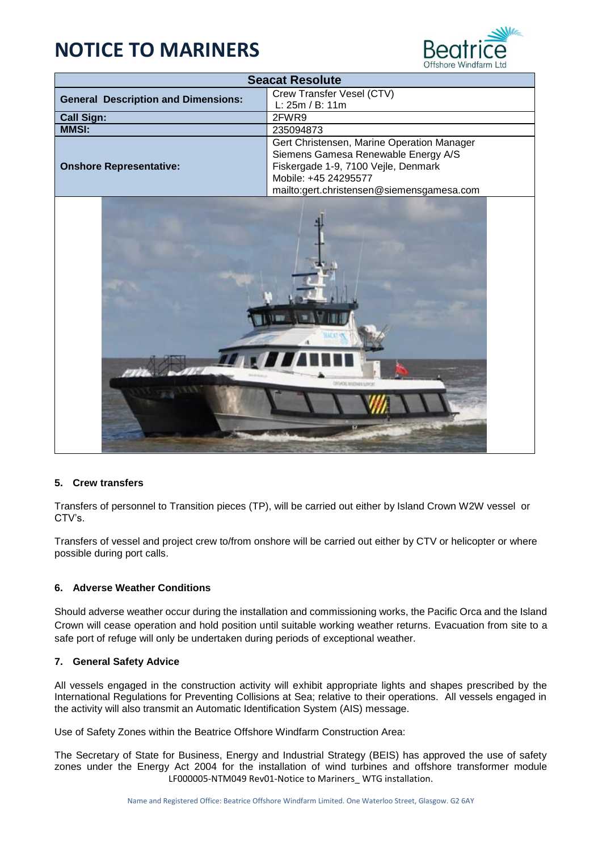

| <b>Seacat Resolute</b>                     |                                                                                   |  |
|--------------------------------------------|-----------------------------------------------------------------------------------|--|
| <b>General Description and Dimensions:</b> | Crew Transfer Vesel (CTV)                                                         |  |
|                                            | L: 25m / B: 11m                                                                   |  |
| <b>Call Sign:</b>                          | 2FWR9                                                                             |  |
| <b>MMSI:</b>                               | 235094873                                                                         |  |
|                                            | Gert Christensen, Marine Operation Manager<br>Siemens Gamesa Renewable Energy A/S |  |
| <b>Onshore Representative:</b>             | Fiskergade 1-9, 7100 Vejle, Denmark                                               |  |
|                                            | Mobile: +45 24295577                                                              |  |
|                                            | mailto:gert.christensen@siemensgamesa.com                                         |  |
| <b>FACIL SINESSEN SINAR</b>                |                                                                                   |  |

### **5. Crew transfers**

Transfers of personnel to Transition pieces (TP), will be carried out either by Island Crown W2W vessel or CTV's.

Transfers of vessel and project crew to/from onshore will be carried out either by CTV or helicopter or where possible during port calls.

### **6. Adverse Weather Conditions**

Should adverse weather occur during the installation and commissioning works, the Pacific Orca and the Island Crown will cease operation and hold position until suitable working weather returns. Evacuation from site to a safe port of refuge will only be undertaken during periods of exceptional weather.

### **7. General Safety Advice**

All vessels engaged in the construction activity will exhibit appropriate lights and shapes prescribed by the International Regulations for Preventing Collisions at Sea; relative to their operations. All vessels engaged in the activity will also transmit an Automatic Identification System (AIS) message.

Use of Safety Zones within the Beatrice Offshore Windfarm Construction Area:

LF000005-NTM049 Rev01-Notice to Mariners\_ WTG installation. The Secretary of State for Business, Energy and Industrial Strategy (BEIS) has approved the use of safety zones under the Energy Act 2004 for the installation of wind turbines and offshore transformer module